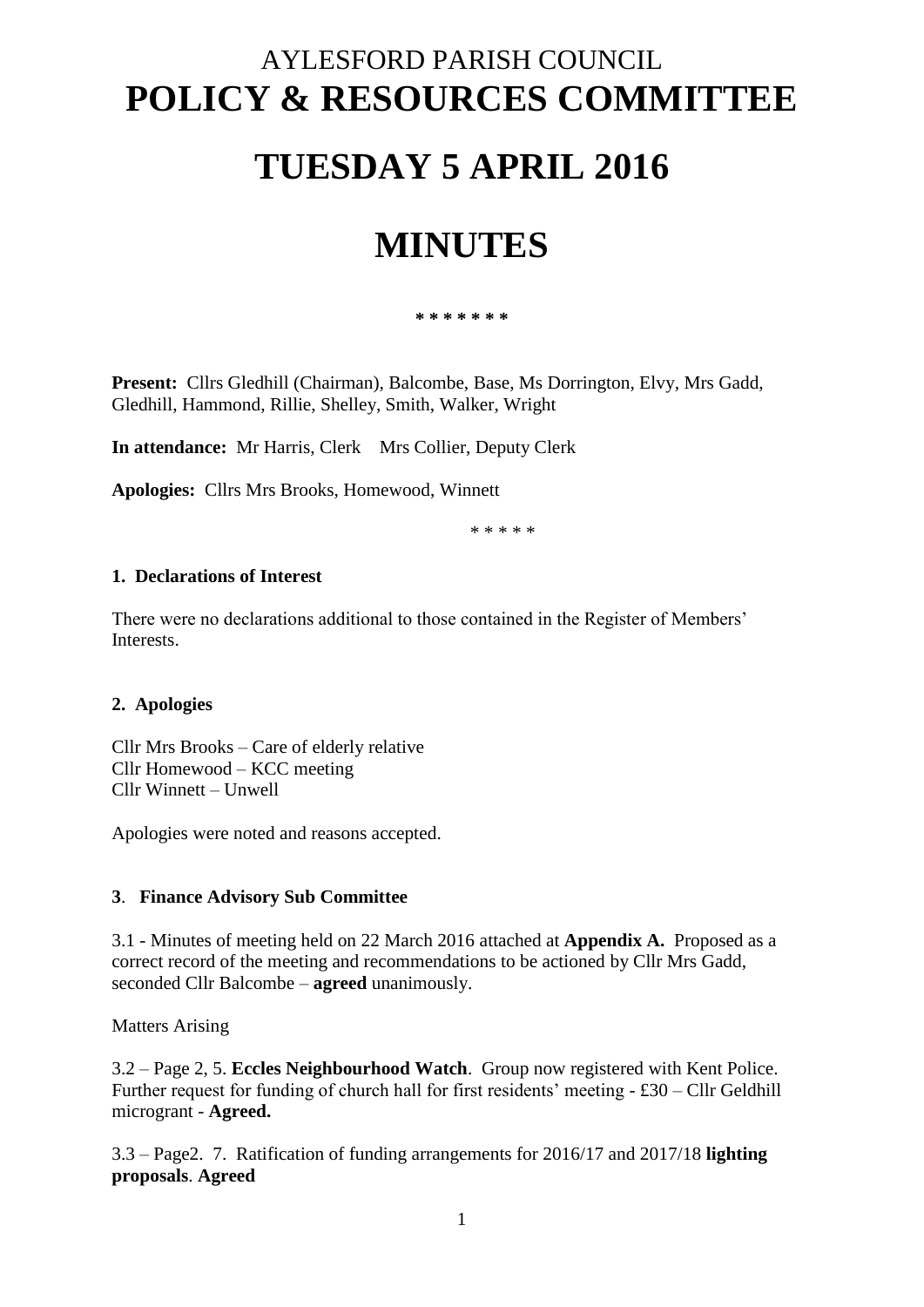# AYLESFORD PARISH COUNCIL **POLICY & RESOURCES COMMITTEE**

### **TUESDAY 5 APRIL 2016**

## **MINUTES**

**\* \* \* \* \* \* \***

**Present:** Cllrs Gledhill (Chairman), Balcombe, Base, Ms Dorrington, Elvy, Mrs Gadd, Gledhill, Hammond, Rillie, Shelley, Smith, Walker, Wright

**In attendance:** Mr Harris, Clerk Mrs Collier, Deputy Clerk

**Apologies:** Cllrs Mrs Brooks, Homewood, Winnett

\* \* \* \* \*

#### **1. Declarations of Interest**

There were no declarations additional to those contained in the Register of Members' **Interests** 

#### **2. Apologies**

Cllr Mrs Brooks – Care of elderly relative Cllr Homewood – KCC meeting Cllr Winnett – Unwell

Apologies were noted and reasons accepted.

#### **3**. **Finance Advisory Sub Committee**

3.1 - Minutes of meeting held on 22 March 2016 attached at **Appendix A.** Proposed as a correct record of the meeting and recommendations to be actioned by Cllr Mrs Gadd, seconded Cllr Balcombe – **agreed** unanimously.

Matters Arising

3.2 – Page 2, 5. **Eccles Neighbourhood Watch**. Group now registered with Kent Police. Further request for funding of church hall for first residents' meeting - £30 – Cllr Geldhill microgrant - **Agreed.** 

3.3 – Page2. 7. Ratification of funding arrangements for 2016/17 and 2017/18 **lighting proposals**. **Agreed**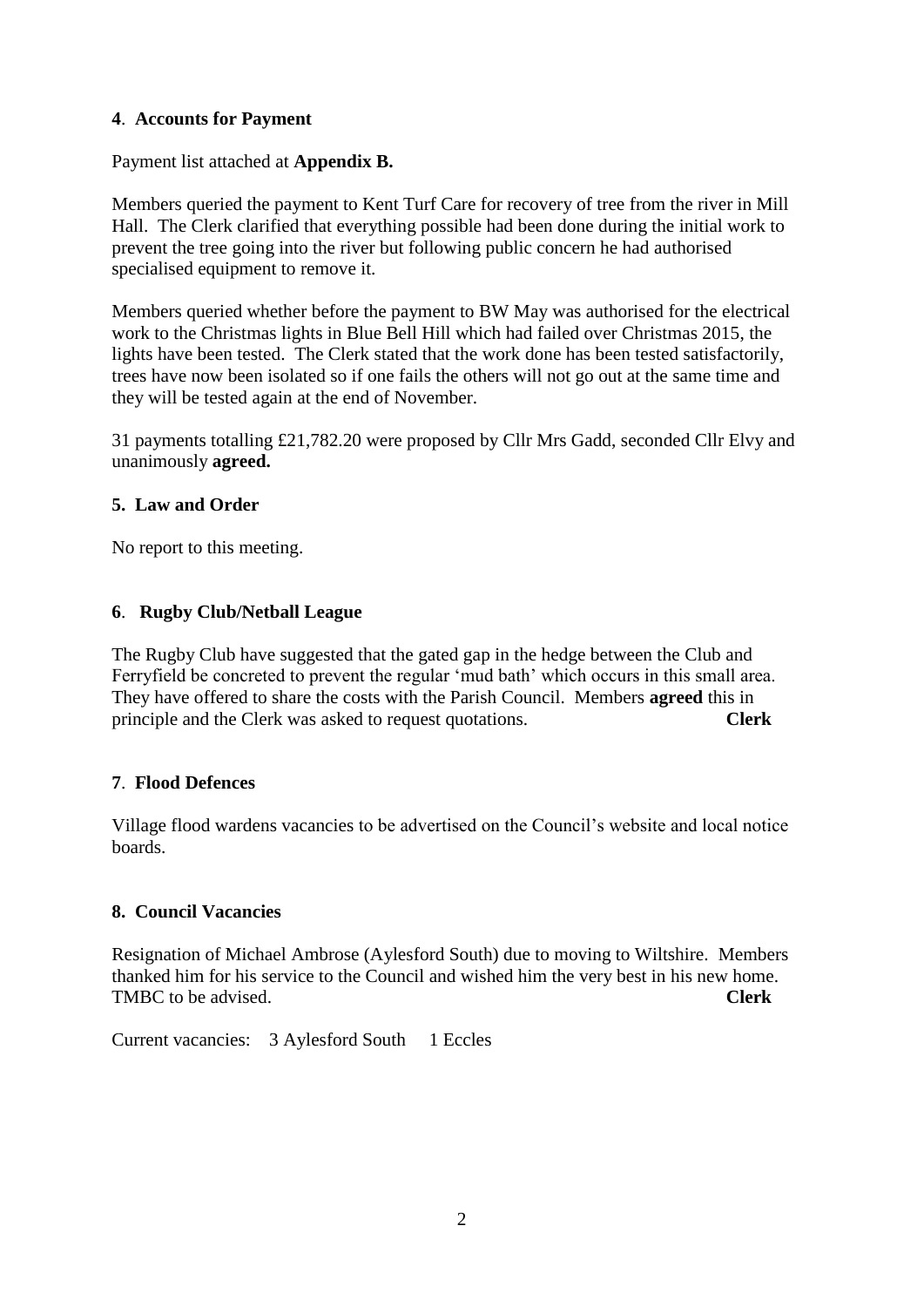#### **4**. **Accounts for Payment**

Payment list attached at **Appendix B.** 

Members queried the payment to Kent Turf Care for recovery of tree from the river in Mill Hall. The Clerk clarified that everything possible had been done during the initial work to prevent the tree going into the river but following public concern he had authorised specialised equipment to remove it.

Members queried whether before the payment to BW May was authorised for the electrical work to the Christmas lights in Blue Bell Hill which had failed over Christmas 2015, the lights have been tested. The Clerk stated that the work done has been tested satisfactorily, trees have now been isolated so if one fails the others will not go out at the same time and they will be tested again at the end of November.

31 payments totalling £21,782.20 were proposed by Cllr Mrs Gadd, seconded Cllr Elvy and unanimously **agreed.**

#### **5. Law and Order**

No report to this meeting.

#### **6**. **Rugby Club/Netball League**

The Rugby Club have suggested that the gated gap in the hedge between the Club and Ferryfield be concreted to prevent the regular 'mud bath' which occurs in this small area. They have offered to share the costs with the Parish Council. Members **agreed** this in principle and the Clerk was asked to request quotations. **Clerk**

#### **7**. **Flood Defences**

Village flood wardens vacancies to be advertised on the Council's website and local notice boards.

#### **8. Council Vacancies**

Resignation of Michael Ambrose (Aylesford South) due to moving to Wiltshire. Members thanked him for his service to the Council and wished him the very best in his new home. TMBC to be advised. **Clerk**

Current vacancies: 3 Aylesford South 1 Eccles